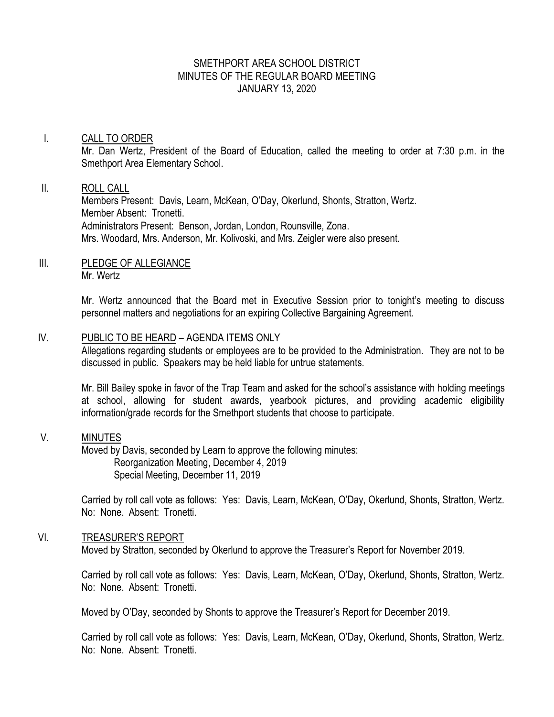## SMETHPORT AREA SCHOOL DISTRICT MINUTES OF THE REGULAR BOARD MEETING JANUARY 13, 2020

## I. CALL TO ORDER

Mr. Dan Wertz, President of the Board of Education, called the meeting to order at 7:30 p.m. in the Smethport Area Elementary School.

## II. ROLL CALL

Members Present: Davis, Learn, McKean, O'Day, Okerlund, Shonts, Stratton, Wertz. Member Absent: Tronetti. Administrators Present: Benson, Jordan, London, Rounsville, Zona. Mrs. Woodard, Mrs. Anderson, Mr. Kolivoski, and Mrs. Zeigler were also present.

## III. PLEDGE OF ALLEGIANCE Mr. Wertz

Mr. Wertz announced that the Board met in Executive Session prior to tonight's meeting to discuss personnel matters and negotiations for an expiring Collective Bargaining Agreement.

## IV. PUBLIC TO BE HEARD – AGENDA ITEMS ONLY

Allegations regarding students or employees are to be provided to the Administration. They are not to be discussed in public. Speakers may be held liable for untrue statements.

Mr. Bill Bailey spoke in favor of the Trap Team and asked for the school's assistance with holding meetings at school, allowing for student awards, yearbook pictures, and providing academic eligibility information/grade records for the Smethport students that choose to participate.

#### V. MINUTES

Moved by Davis, seconded by Learn to approve the following minutes: Reorganization Meeting, December 4, 2019 Special Meeting, December 11, 2019

Carried by roll call vote as follows: Yes: Davis, Learn, McKean, O'Day, Okerlund, Shonts, Stratton, Wertz. No: None. Absent: Tronetti.

## VI. TREASURER'S REPORT

Moved by Stratton, seconded by Okerlund to approve the Treasurer's Report for November 2019.

Carried by roll call vote as follows: Yes: Davis, Learn, McKean, O'Day, Okerlund, Shonts, Stratton, Wertz. No: None. Absent: Tronetti.

Moved by O'Day, seconded by Shonts to approve the Treasurer's Report for December 2019.

Carried by roll call vote as follows: Yes: Davis, Learn, McKean, O'Day, Okerlund, Shonts, Stratton, Wertz. No: None. Absent: Tronetti.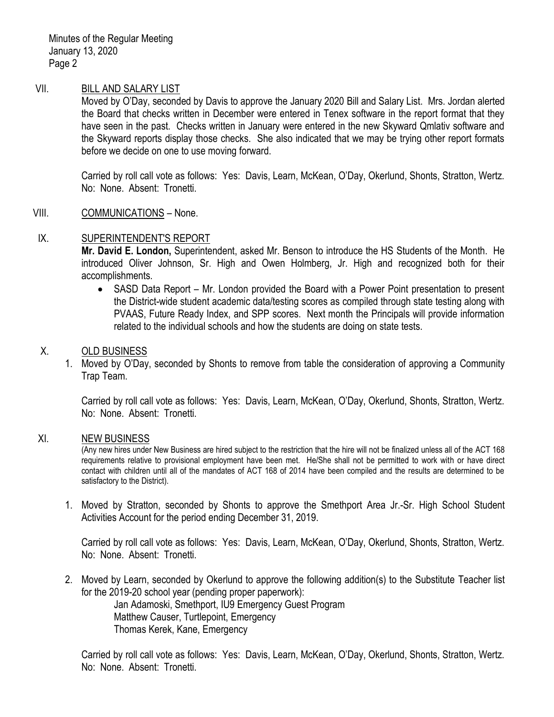Minutes of the Regular Meeting January 13, 2020 Page 2

## VII. BILL AND SALARY LIST

Moved by O'Day, seconded by Davis to approve the January 2020 Bill and Salary List. Mrs. Jordan alerted the Board that checks written in December were entered in Tenex software in the report format that they have seen in the past. Checks written in January were entered in the new Skyward Qmlativ software and the Skyward reports display those checks. She also indicated that we may be trying other report formats before we decide on one to use moving forward.

Carried by roll call vote as follows: Yes: Davis, Learn, McKean, O'Day, Okerlund, Shonts, Stratton, Wertz. No: None. Absent: Tronetti.

#### VIII. COMMUNICATIONS – None.

#### IX. SUPERINTENDENT'S REPORT

**Mr. David E. London,** Superintendent, asked Mr. Benson to introduce the HS Students of the Month. He introduced Oliver Johnson, Sr. High and Owen Holmberg, Jr. High and recognized both for their accomplishments.

• SASD Data Report – Mr. London provided the Board with a Power Point presentation to present the District-wide student academic data/testing scores as compiled through state testing along with PVAAS, Future Ready Index, and SPP scores. Next month the Principals will provide information related to the individual schools and how the students are doing on state tests.

## X. OLD BUSINESS

1. Moved by O'Day, seconded by Shonts to remove from table the consideration of approving a Community Trap Team.

Carried by roll call vote as follows: Yes: Davis, Learn, McKean, O'Day, Okerlund, Shonts, Stratton, Wertz. No: None. Absent: Tronetti.

#### XI. NEW BUSINESS

(Any new hires under New Business are hired subject to the restriction that the hire will not be finalized unless all of the ACT 168 requirements relative to provisional employment have been met. He/She shall not be permitted to work with or have direct contact with children until all of the mandates of ACT 168 of 2014 have been compiled and the results are determined to be satisfactory to the District).

1. Moved by Stratton, seconded by Shonts to approve the Smethport Area Jr.-Sr. High School Student Activities Account for the period ending December 31, 2019.

Carried by roll call vote as follows: Yes: Davis, Learn, McKean, O'Day, Okerlund, Shonts, Stratton, Wertz. No: None. Absent: Tronetti.

2. Moved by Learn, seconded by Okerlund to approve the following addition(s) to the Substitute Teacher list for the 2019-20 school year (pending proper paperwork):

> Jan Adamoski, Smethport, IU9 Emergency Guest Program Matthew Causer, Turtlepoint, Emergency Thomas Kerek, Kane, Emergency

Carried by roll call vote as follows: Yes: Davis, Learn, McKean, O'Day, Okerlund, Shonts, Stratton, Wertz. No: None. Absent: Tronetti.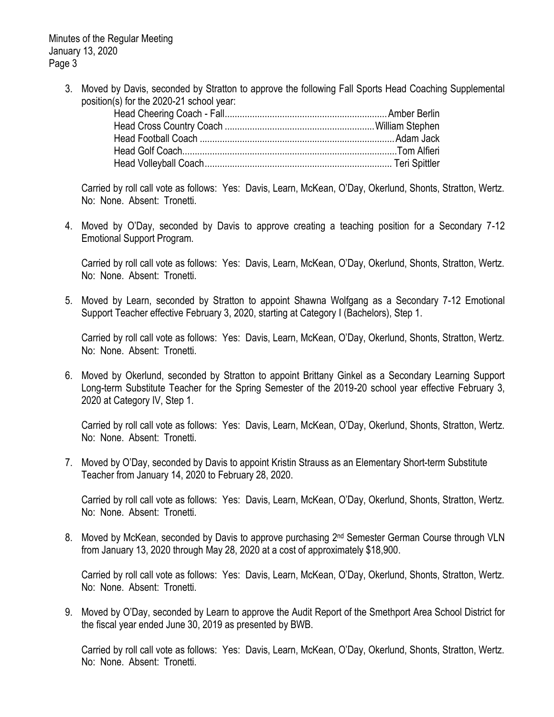Minutes of the Regular Meeting January 13, 2020 Page 3

> 3. Moved by Davis, seconded by Stratton to approve the following Fall Sports Head Coaching Supplemental position(s) for the 2020-21 school year:

Carried by roll call vote as follows: Yes: Davis, Learn, McKean, O'Day, Okerlund, Shonts, Stratton, Wertz. No: None. Absent: Tronetti.

4. Moved by O'Day, seconded by Davis to approve creating a teaching position for a Secondary 7-12 Emotional Support Program.

Carried by roll call vote as follows: Yes: Davis, Learn, McKean, O'Day, Okerlund, Shonts, Stratton, Wertz. No: None. Absent: Tronetti.

5. Moved by Learn, seconded by Stratton to appoint Shawna Wolfgang as a Secondary 7-12 Emotional Support Teacher effective February 3, 2020, starting at Category I (Bachelors), Step 1.

Carried by roll call vote as follows: Yes: Davis, Learn, McKean, O'Day, Okerlund, Shonts, Stratton, Wertz. No: None. Absent: Tronetti.

6. Moved by Okerlund, seconded by Stratton to appoint Brittany Ginkel as a Secondary Learning Support Long-term Substitute Teacher for the Spring Semester of the 2019-20 school year effective February 3, 2020 at Category IV, Step 1.

Carried by roll call vote as follows: Yes: Davis, Learn, McKean, O'Day, Okerlund, Shonts, Stratton, Wertz. No: None. Absent: Tronetti.

7. Moved by O'Day, seconded by Davis to appoint Kristin Strauss as an Elementary Short-term Substitute Teacher from January 14, 2020 to February 28, 2020.

Carried by roll call vote as follows: Yes: Davis, Learn, McKean, O'Day, Okerlund, Shonts, Stratton, Wertz. No: None. Absent: Tronetti.

8. Moved by McKean, seconded by Davis to approve purchasing 2<sup>nd</sup> Semester German Course through VLN from January 13, 2020 through May 28, 2020 at a cost of approximately \$18,900.

Carried by roll call vote as follows: Yes: Davis, Learn, McKean, O'Day, Okerlund, Shonts, Stratton, Wertz. No: None. Absent: Tronetti.

9. Moved by O'Day, seconded by Learn to approve the Audit Report of the Smethport Area School District for the fiscal year ended June 30, 2019 as presented by BWB.

Carried by roll call vote as follows: Yes: Davis, Learn, McKean, O'Day, Okerlund, Shonts, Stratton, Wertz. No: None. Absent: Tronetti.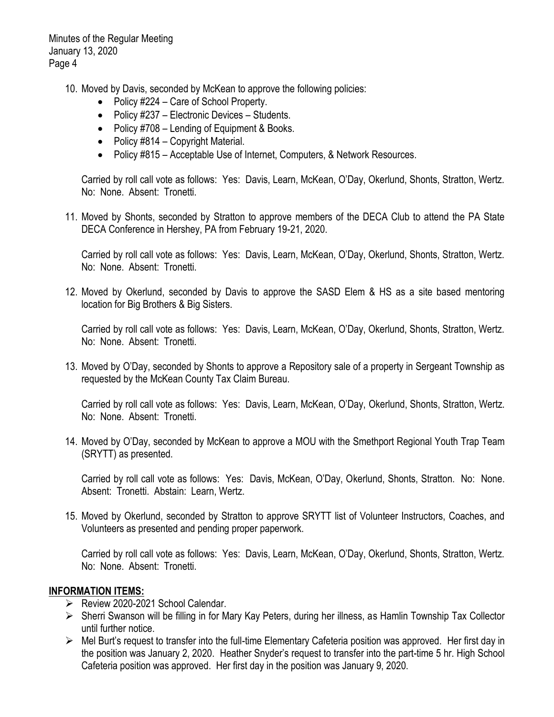Minutes of the Regular Meeting January 13, 2020 Page 4

- 10. Moved by Davis, seconded by McKean to approve the following policies:
	- Policy #224 Care of School Property.
	- Policy #237 Electronic Devices Students.
	- Policy #708 Lending of Equipment & Books.
	- Policy #814 Copyright Material.
	- Policy #815 Acceptable Use of Internet, Computers, & Network Resources.

Carried by roll call vote as follows: Yes: Davis, Learn, McKean, O'Day, Okerlund, Shonts, Stratton, Wertz. No: None. Absent: Tronetti.

11. Moved by Shonts, seconded by Stratton to approve members of the DECA Club to attend the PA State DECA Conference in Hershey, PA from February 19-21, 2020.

Carried by roll call vote as follows: Yes: Davis, Learn, McKean, O'Day, Okerlund, Shonts, Stratton, Wertz. No: None. Absent: Tronetti.

12. Moved by Okerlund, seconded by Davis to approve the SASD Elem & HS as a site based mentoring location for Big Brothers & Big Sisters.

Carried by roll call vote as follows: Yes: Davis, Learn, McKean, O'Day, Okerlund, Shonts, Stratton, Wertz. No: None. Absent: Tronetti.

13. Moved by O'Day, seconded by Shonts to approve a Repository sale of a property in Sergeant Township as requested by the McKean County Tax Claim Bureau.

Carried by roll call vote as follows: Yes: Davis, Learn, McKean, O'Day, Okerlund, Shonts, Stratton, Wertz. No: None. Absent: Tronetti.

14. Moved by O'Day, seconded by McKean to approve a MOU with the Smethport Regional Youth Trap Team (SRYTT) as presented.

Carried by roll call vote as follows: Yes: Davis, McKean, O'Day, Okerlund, Shonts, Stratton. No: None. Absent: Tronetti. Abstain: Learn, Wertz.

15. Moved by Okerlund, seconded by Stratton to approve SRYTT list of Volunteer Instructors, Coaches, and Volunteers as presented and pending proper paperwork.

Carried by roll call vote as follows: Yes: Davis, Learn, McKean, O'Day, Okerlund, Shonts, Stratton, Wertz. No: None. Absent: Tronetti.

## **INFORMATION ITEMS:**

- Review 2020-2021 School Calendar.
- Sherri Swanson will be filling in for Mary Kay Peters, during her illness, as Hamlin Township Tax Collector until further notice.
- Mel Burt's request to transfer into the full-time Elementary Cafeteria position was approved. Her first day in the position was January 2, 2020. Heather Snyder's request to transfer into the part-time 5 hr. High School Cafeteria position was approved. Her first day in the position was January 9, 2020.